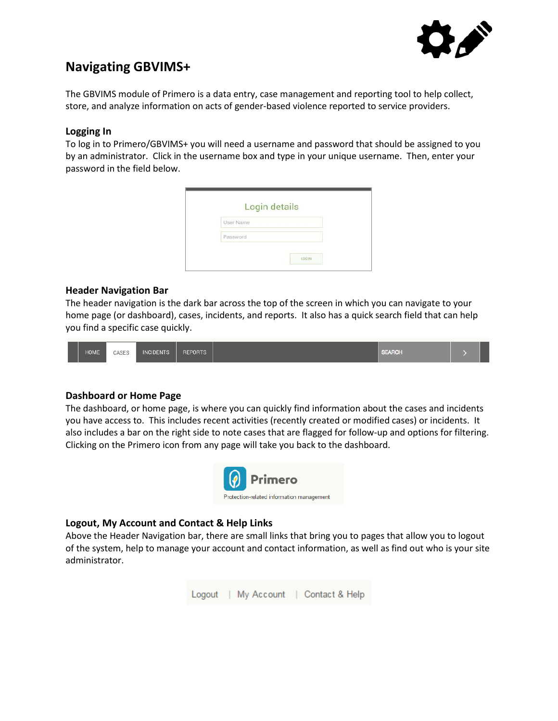

# **Navigating GBVIMS+**

The GBVIMS module of Primero is a data entry, case management and reporting tool to help collect, store, and analyze information on acts of gender-based violence reported to service providers.

## **Logging In**

To log in to Primero/GBVIMS+ you will need a username and password that should be assigned to you by an administrator. Click in the username box and type in your unique username. Then, enter your password in the field below.

| User Name |  |
|-----------|--|
|           |  |
| Password  |  |

## **Header Navigation Bar**

The header navigation is the dark bar across the top of the screen in which you can navigate to your home page (or dashboard), cases, incidents, and reports. It also has a quick search field that can help you find a specific case quickly.

| <b>SEARCH</b><br><b>HOME</b><br><b>INCIDENTS</b><br><b>REPORTS</b><br>CASES |  |  |  |  |  |
|-----------------------------------------------------------------------------|--|--|--|--|--|
|-----------------------------------------------------------------------------|--|--|--|--|--|

# **Dashboard or Home Page**

The dashboard, or home page, is where you can quickly find information about the cases and incidents you have access to. This includes recent activities (recently created or modified cases) or incidents. It also includes a bar on the right side to note cases that are flagged for follow-up and options for filtering. Clicking on the Primero icon from any page will take you back to the dashboard.



# **Logout, My Account and Contact & Help Links**

Above the Header Navigation bar, there are small links that bring you to pages that allow you to logout of the system, help to manage your account and contact information, as well as find out who is your site administrator.

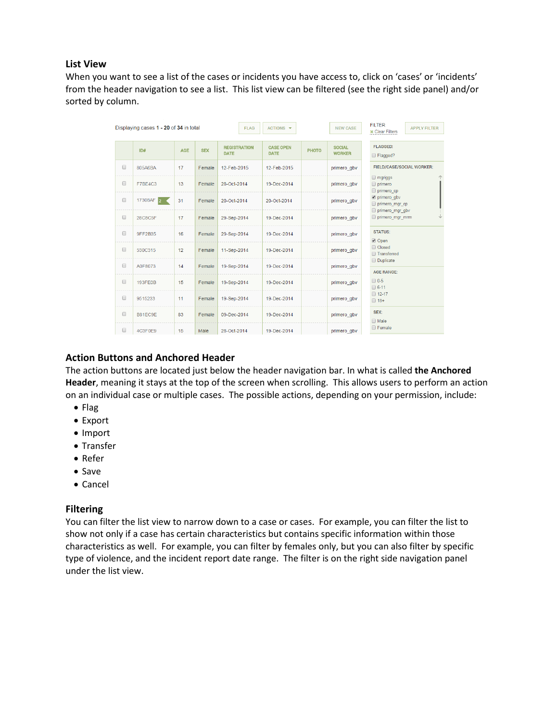#### **List View**

When you want to see a list of the cases or incidents you have access to, click on 'cases' or 'incidents' from the header navigation to see a list. This list view can be filtered (see the right side panel) and/or sorted by column.

|                      | Displaying cases 1 - 20 of 34 in total |            |            | <b>FLAG</b>                        | $ACTIONS \rightarrow$           |              | <b>NEW CASE</b>                | <b>FILTER:</b><br><b>APPLY FILTER</b><br><b>*</b> Clear Filters      |  |
|----------------------|----------------------------------------|------------|------------|------------------------------------|---------------------------------|--------------|--------------------------------|----------------------------------------------------------------------|--|
|                      | ID#                                    | <b>AGE</b> | <b>SEX</b> | <b>REGISTRATION</b><br><b>DATE</b> | <b>CASE OPEN</b><br><b>DATE</b> | <b>PHOTO</b> | <b>SOCIAL</b><br><b>WORKER</b> | <b>FLAGGED:</b><br>Flagged?                                          |  |
| $\Box$               | 805A6BA                                | 17         | Female     | 12-Feb-2015                        | 12-Feb-2015                     |              | primero gbv                    | FIELD/CASE/SOCIAL WORKER:                                            |  |
| $\Box$               | F7BE4C3                                | 13         | Female     | 28-Oct-2014                        | 19-Dec-2014                     |              | primero gbv                    | $\Box$ mgriggs<br>primero<br>primero cp                              |  |
| $\Box$               | 17308AF 2                              | 31         | Female     | 20-Oct-2014                        | 20-Oct-2014                     |              | primero gbv                    | primero gbv<br>primero mgr cp                                        |  |
| $\Box$               | 28C8C5F                                | 17         | Female     | 29-Sep-2014                        | 19-Dec-2014                     |              | primero gbv                    | primero mgr gbv<br>primero mgr mm<br><b>STATUS:</b><br><b>Ø</b> Open |  |
| $\qquad \qquad \Box$ | 9FF2B35                                | 16         | Female     | 29-Sep-2014                        | 19-Dec-2014                     |              | primero qbv                    |                                                                      |  |
| $\qquad \qquad \Box$ | 530C315                                | 12         | Female     | 11-Sep-2014                        | 19-Dec-2014                     |              | primero gbv                    | Closed<br><b>Transferred</b>                                         |  |
| $\Box$               | A0F8073                                | 14         | Female     | 19-Sep-2014                        | 19-Dec-2014                     |              | primero gbv                    | <b>Duplicate</b><br><b>AGE RANGE:</b><br>$\Box$ 0-5<br>$\Box$ 6-11   |  |
| $\Box$               | 193FE0B                                | 15         | Female     | 19-Sep-2014                        | 19-Dec-2014                     |              | primero gbv                    |                                                                      |  |
| $\Box$               | 9515233                                | 11         | Female     | 19-Sep-2014                        | 19-Dec-2014                     |              | primero gbv                    | $\Box$ 12-17<br>$\Box$ 18+                                           |  |
| $\qquad \qquad \Box$ | B81EC9E                                | 83         | Female     | 09-Dec-2014                        | 19-Dec-2014                     |              | primero gbv                    | SEX:<br><b>Male</b>                                                  |  |
| $\Box$               | 4C3F0E9                                | 15         | Male       | 28-Oct-2014                        | 19-Dec-2014                     |              | primero gbv                    | <b>E</b> Female                                                      |  |

## **Action Buttons and Anchored Header**

The action buttons are located just below the header navigation bar. In what is called **the Anchored Header**, meaning it stays at the top of the screen when scrolling. This allows users to perform an action on an individual case or multiple cases. The possible actions, depending on your permission, include:

- Flag
- Export
- Import
- Transfer
- Refer
- Save
- Cancel

## **Filtering**

You can filter the list view to narrow down to a case or cases. For example, you can filter the list to show not only if a case has certain characteristics but contains specific information within those characteristics as well. For example, you can filter by females only, but you can also filter by specific type of violence, and the incident report date range. The filter is on the right side navigation panel under the list view.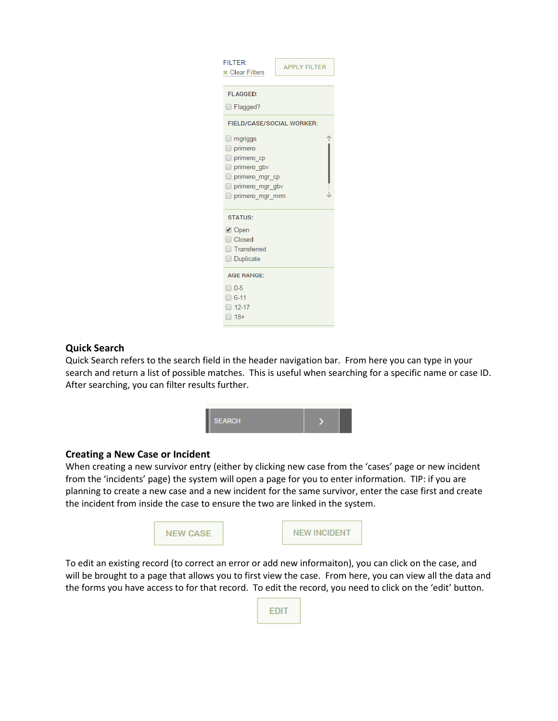| <b>FILTER:</b><br><b>APPLY FILTER</b><br><b>*</b> Clear Filters                                                       |  |  |  |  |  |
|-----------------------------------------------------------------------------------------------------------------------|--|--|--|--|--|
| <b>FLAGGED:</b>                                                                                                       |  |  |  |  |  |
| $\Box$ Flagged?                                                                                                       |  |  |  |  |  |
| <b>FIELD/CASE/SOCIAL WORKER:</b>                                                                                      |  |  |  |  |  |
| $\Box$ mgriggs<br>$\Box$ primero<br>primero cp<br>primero gbv<br>primero mgr cp<br>primero mgr gbv<br>primero_mgr_mrm |  |  |  |  |  |
| <b>STATUS:</b>                                                                                                        |  |  |  |  |  |
| <b>Ø</b> Open<br>Closed<br>□ Transferred<br><b>Duplicate</b>                                                          |  |  |  |  |  |
| <b>AGE RANGE:</b>                                                                                                     |  |  |  |  |  |
| $\Box$ 0-5<br>$\Box$ 6-11<br>$\Box$ 12-17<br>$\Box$ 18+                                                               |  |  |  |  |  |

## **Quick Search**

Quick Search refers to the search field in the header navigation bar. From here you can type in your search and return a list of possible matches. This is useful when searching for a specific name or case ID. After searching, you can filter results further.



# **Creating a New Case or Incident**

When creating a new survivor entry (either by clicking new case from the 'cases' page or new incident from the 'incidents' page) the system will open a page for you to enter information. TIP: if you are planning to create a new case and a new incident for the same survivor, enter the case first and create the incident from inside the case to ensure the two are linked in the system.



To edit an existing record (to correct an error or add new informaiton), you can click on the case, and will be brought to a page that allows you to first view the case. From here, you can view all the data and the forms you have access to for that record. To edit the record, you need to click on the 'edit' button.